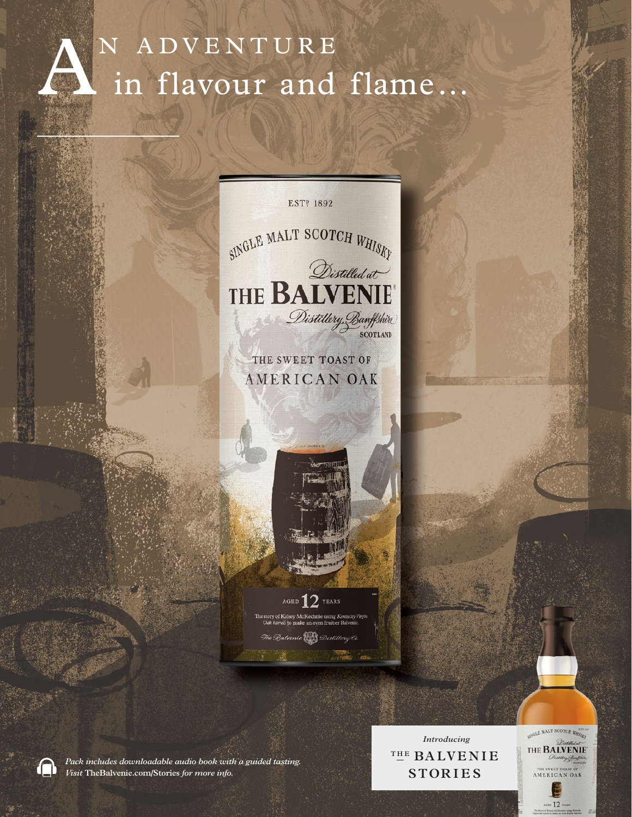

EST<sup>P</sup> 1892 SINGLE MALT SCOTCH WHISKY THE BALVENIE Distillery, Banffshire

THE SWEET TOAST OF AMERICAN OAK



ry of Kelsey McKechnie using Kentucky Virgin The Batvenie **Pres** Distillery Ci



Pack includes downloadable audio book with a guided tasting. Visit TheBalvenie.com/Stories for more info.

Introducing THE BALVENIE **STORIES** 

SINGLE MALT SCOTCH WHISKN THE **BALVENIE** THE SWEET TOAST OF AMERICAN OAK